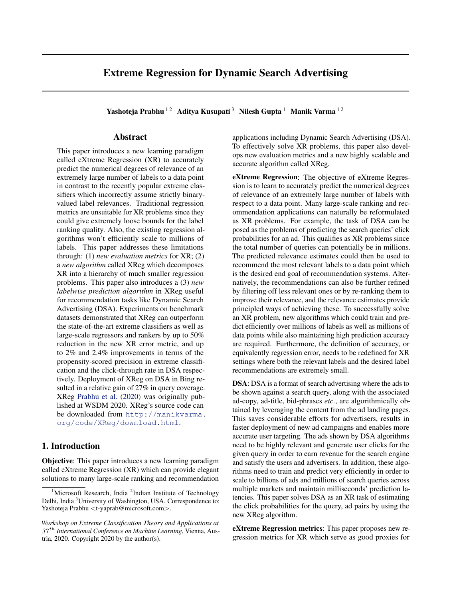# Extreme Regression for Dynamic Search Advertising

Yashoteja Prabhu <sup>12</sup> Aditya Kusupati<sup>3</sup> Nilesh Gupta <sup>1</sup> Manik Varma <sup>12</sup>

### Abstract

This paper introduces a new learning paradigm called eXtreme Regression (XR) to accurately predict the numerical degrees of relevance of an extremely large number of labels to a data point in contrast to the recently popular extreme classifiers which incorrectly assume strictly binaryvalued label relevances. Traditional regression metrics are unsuitable for XR problems since they could give extremely loose bounds for the label ranking quality. Also, the existing regression algorithms won't efficiently scale to millions of labels. This paper addresses these limitations through: (1) *new evaluation metrics* for XR; (2) a *new algorithm* called XReg which decomposes XR into a hierarchy of much smaller regression problems. This paper also introduces a (3) *new labelwise prediction algorithm* in XReg useful for recommendation tasks like Dynamic Search Advertising (DSA). Experiments on benchmark datasets demonstrated that XReg can outperform the state-of-the-art extreme classifiers as well as large-scale regressors and rankers by up to 50% reduction in the new XR error metric, and up to 2% and 2.4% improvements in terms of the propensity-scored precision in extreme classification and the click-through rate in DSA respectively. Deployment of XReg on DSA in Bing resulted in a relative gain of 27% in query coverage. XReg [Prabhu et al.](#page-4-0) [\(2020\)](#page-4-0) was originally published at WSDM 2020. XReg's source code can be downloaded from [http://manikvarma.](http://manikvarma.org/code/XReg/download.html) [org/code/XReg/download.html](http://manikvarma.org/code/XReg/download.html).

# 1. Introduction

Objective: This paper introduces a new learning paradigm called eXtreme Regression (XR) which can provide elegant solutions to many large-scale ranking and recommendation applications including Dynamic Search Advertising (DSA). To effectively solve XR problems, this paper also develops new evaluation metrics and a new highly scalable and accurate algorithm called XReg.

eXtreme Regression: The objective of eXtreme Regression is to learn to accurately predict the numerical degrees of relevance of an extremely large number of labels with respect to a data point. Many large-scale ranking and recommendation applications can naturally be reformulated as XR problems. For example, the task of DSA can be posed as the problems of predicting the search queries' click probabilities for an ad. This qualifies as XR problems since the total number of queries can potentially be in millions. The predicted relevance estimates could then be used to recommend the most relevant labels to a data point which is the desired end goal of recommendation systems. Alternatively, the recommendations can also be further refined by filtering off less relevant ones or by re-ranking them to improve their relevance, and the relevance estimates provide principled ways of achieving these. To successfully solve an XR problem, new algorithms which could train and predict efficiently over millions of labels as well as millions of data points while also maintaining high prediction accuracy are required. Furthermore, the definition of accuracy, or equivalently regression error, needs to be redefined for XR settings where both the relevant labels and the desired label recommendations are extremely small.

DSA: DSA is a format of search advertising where the ads to be shown against a search query, along with the associated ad-copy, ad-title, bid-phrases *etc.*, are algorithmically obtained by leveraging the content from the ad landing pages. This saves considerable efforts for advertisers, results in faster deployment of new ad campaigns and enables more accurate user targeting. The ads shown by DSA algorithms need to be highly relevant and generate user clicks for the given query in order to earn revenue for the search engine and satisfy the users and advertisers. In addition, these algorithms need to train and predict very efficiently in order to scale to billions of ads and millions of search queries across multiple markets and maintain milliseconds' prediction latencies. This paper solves DSA as an XR task of estimating the click probabilities for the query, ad pairs by using the new XReg algorithm.

eXtreme Regression metrics: This paper proposes new regression metrics for XR which serve as good proxies for

<sup>&</sup>lt;sup>1</sup>Microsoft Research, India<sup>2</sup>Indian Institute of Technology Delhi, India <sup>3</sup>University of Washington, USA. Correspondence to: Yashoteja Prabhu <t-yaprab@microsoft.com>.

*Workshop on Extreme Classification Theory and Applications at* 37 th *International Conference on Machine Learning*, Vienna, Austria, 2020. Copyright 2020 by the author(s).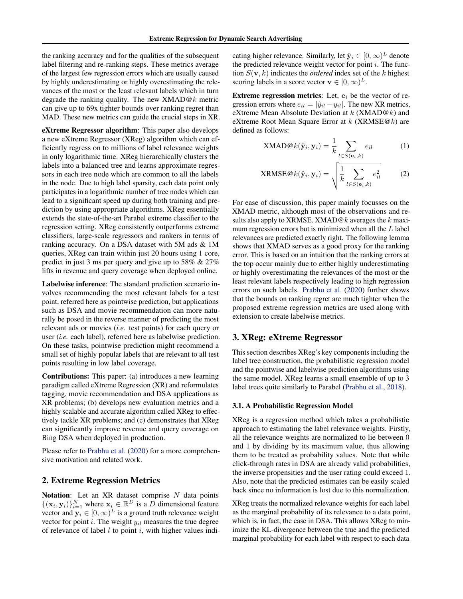the ranking accuracy and for the qualities of the subsequent label filtering and re-ranking steps. These metrics average of the largest few regression errors which are usually caused by highly underestimating or highly overestimating the relevances of the most or the least relevant labels which in turn degrade the ranking quality. The new  $XMAD@k$  metric can give up to 69x tighter bounds over ranking regret than MAD. These new metrics can guide the crucial steps in XR.

eXtreme Regressor algorithm: This paper also develops a new eXtreme Regressor (XReg) algorithm which can efficiently regress on to millions of label relevance weights in only logarithmic time. XReg hierarchically clusters the labels into a balanced tree and learns approximate regressors in each tree node which are common to all the labels in the node. Due to high label sparsity, each data point only participates in a logarithmic number of tree nodes which can lead to a significant speed up during both training and prediction by using appropriate algorithms. XReg essentially extends the state-of-the-art Parabel extreme classifier to the regression setting. XReg consistently outperforms extreme classifiers, large-scale regressors and rankers in terms of ranking accuracy. On a DSA dataset with 5M ads & 1M queries, XReg can train within just 20 hours using 1 core, predict in just 3 ms per query and give up to 58% & 27% lifts in revenue and query coverage when deployed online.

Labelwise inference: The standard prediction scenario involves recommending the most relevant labels for a test point, referred here as pointwise prediction, but applications such as DSA and movie recommendation can more naturally be posed in the reverse manner of predicting the most relevant ads or movies (*i.e.* test points) for each query or user (*i.e.* each label), referred here as labelwise prediction. On these tasks, pointwise prediction might recommend a small set of highly popular labels that are relevant to all test points resulting in low label coverage.

Contributions: This paper: (a) introduces a new learning paradigm called eXtreme Regression (XR) and reformulates tagging, movie recommendation and DSA applications as XR problems; (b) develops new evaluation metrics and a highly scalable and accurate algorithm called XReg to effectively tackle XR problems; and (c) demonstrates that XReg can significantly improve revenue and query coverage on Bing DSA when deployed in production.

Please refer to [Prabhu et al.](#page-4-0) [\(2020\)](#page-4-0) for a more comprehensive motivation and related work.

#### 2. Extreme Regression Metrics

Notation: Let an  $XR$  dataset comprise  $N$  data points  $\{(\mathbf{x}_i, \mathbf{y}_i)\}_{i=1}^N$  where  $\mathbf{x}_i \in \mathbb{R}^D$  is a D dimensional feature vector and  $y_i \in [0, \infty)^L$  is a ground truth relevance weight vector for point i. The weight  $y_{il}$  measures the true degree of relevance of label  $l$  to point  $i$ , with higher values indi-

cating higher relevance. Similarly, let  $\hat{\mathbf{y}}_i \in [0, \infty)^L$  denote the predicted relevance weight vector for point  $i$ . The function  $S(\mathbf{v}, k)$  indicates the *ordered* index set of the k highest scoring labels in a score vector  $\mathbf{v} \in [0, \infty)^L$ .

Extreme regression metrics: Let,  $e_i$  be the vector of regression errors where  $e_{il} = |\hat{y}_{il} - y_{il}|$ . The new XR metrics, eXtreme Mean Absolute Deviation at  $k$  (XMAD@ $k$ ) and eXtreme Root Mean Square Error at  $k$  (XRMSE@ $k$ ) are defined as follows:

$$
\text{XMAD@}k(\hat{\mathbf{y}}_i, \mathbf{y}_i) = \frac{1}{k} \sum_{l \in S(\mathbf{e}_i, k)} e_{il} \tag{1}
$$

$$
XRMSE@k(\hat{\mathbf{y}}_i, \mathbf{y}_i) = \sqrt{\frac{1}{k} \sum_{l \in S(\mathbf{e}_i, k)} e_{il}^2}
$$
 (2)

For ease of discussion, this paper mainly focusses on the XMAD metric, although most of the observations and results also apply to XRMSE. XMAD@ $k$  averages the  $k$  maximum regression errors but is minimized when all the  $L$  label relevances are predicted exactly right. The following lemma shows that XMAD serves as a good proxy for the ranking error. This is based on an intuition that the ranking errors at the top occur mainly due to either highly underestimating or highly overestimating the relevances of the most or the least relevant labels respectively leading to high regression errors on such labels. [Prabhu et al.](#page-4-0) [\(2020\)](#page-4-0) further shows that the bounds on ranking regret are much tighter when the proposed extreme regression metrics are used along with extension to create labelwise metrics.

### 3. XReg: eXtreme Regressor

This section describes XReg's key components including the label tree construction, the probabilistic regression model and the pointwise and labelwise prediction algorithms using the same model. XReg learns a small ensemble of up to 3 label trees quite similarly to Parabel [\(Prabhu et al.,](#page-4-0) [2018\)](#page-4-0).

#### 3.1. A Probabilistic Regression Model

XReg is a regression method which takes a probabilistic approach to estimating the label relevance weights. Firstly, all the relevance weights are normalized to lie between 0 and 1 by dividing by its maximum value, thus allowing them to be treated as probability values. Note that while click-through rates in DSA are already valid probabilities, the inverse propensities and the user rating could exceed 1. Also, note that the predicted estimates can be easily scaled back since no information is lost due to this normalization.

XReg treats the normalized relevance weights for each label as the marginal probability of its relevance to a data point, which is, in fact, the case in DSA. This allows XReg to minimize the KL-divergence between the true and the predicted marginal probability for each label with respect to each data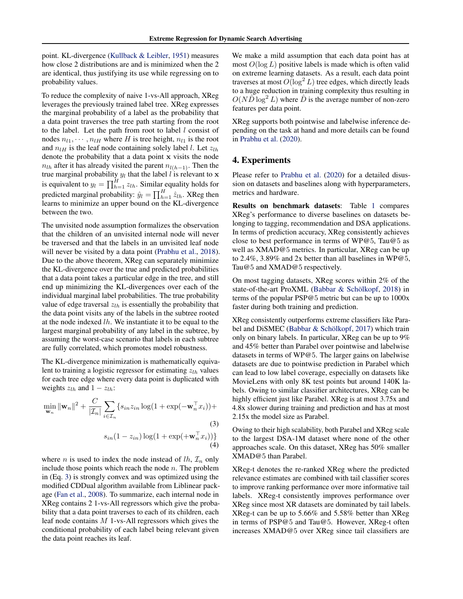point. KL-divergence [\(Kullback & Leibler,](#page-4-0) [1951\)](#page-4-0) measures how close 2 distributions are and is minimized when the 2 are identical, thus justifying its use while regressing on to probability values.

To reduce the complexity of naive 1-vs-All approach, XReg leverages the previously trained label tree. XReg expresses the marginal probability of a label as the probability that a data point traverses the tree path starting from the root to the label. Let the path from root to label  $l$  consist of nodes  $n_{l1}, \dots, n_{lH}$  where H is tree height,  $n_{l1}$  is the root and  $n_{lH}$  is the leaf node containing solely label l. Let  $z_{lh}$ denote the probability that a data point x visits the node  $n_{lh}$  after it has already visited the parent  $n_{l(h-1)}$ . Then the true marginal probability  $y_l$  that the label l is relevant to  $x$ is equivalent to  $y_l = \prod_{h=1}^H z_{lh}$ . Similar equality holds for predicted marginal probability:  $\hat{y}_l = \prod_{h=1}^H \hat{z}_{lh}$ . XReg then learns to minimize an upper bound on the KL-divergence between the two.

The unvisited node assumption formalizes the observation that the children of an unvisited internal node will never be traversed and that the labels in an unvisited leaf node will never be visited by a data point [\(Prabhu et al.,](#page-4-0) [2018\)](#page-4-0). Due to the above theorem, XReg can separately minimize the KL-divergence over the true and predicted probabilities that a data point takes a particular edge in the tree, and still end up minimizing the KL-divergences over each of the individual marginal label probabilities. The true probability value of edge traversal  $z_{lh}$  is essentially the probability that the data point visits any of the labels in the subtree rooted at the node indexed lh. We instantiate it to be equal to the largest marginal probability of any label in the subtree, by assuming the worst-case scenario that labels in each subtree are fully correlated, which promotes model robustness.

The KL-divergence minimization is mathematically equivalent to training a logistic regressor for estimating  $z_{lh}$  values for each tree edge where every data point is duplicated with weights  $z_{lh}$  and  $1 - z_{lh}$ :

$$
\min_{\mathbf{w}_n} \|\mathbf{w}_n\|^2 + \frac{C}{|\mathcal{I}_n|} \sum_{i \in \mathcal{I}_n} \{s_{in} z_{in} \log(1 + \exp(-\mathbf{w}_n^\top x_i)) +
$$
\n
$$
s_{in} (1 - z_{in}) \log(1 + \exp(+\mathbf{w}_n^\top x_i)) \}
$$
\n(3)\n(4)

where *n* is used to index the node instead of  $lh$ ,  $\mathcal{I}_n$  only include those points which reach the node  $n$ . The problem in (Eq. 3) is strongly convex and was optimized using the modified CDDual algorithm available from Liblinear package [\(Fan et al.,](#page-4-0) [2008\)](#page-4-0). To summarize, each internal node in XReg contains 2 1-vs-All regressors which give the probability that a data point traverses to each of its children, each leaf node contains M 1-vs-All regressors which gives the conditional probability of each label being relevant given the data point reaches its leaf.

We make a mild assumption that each data point has at most  $O(\log L)$  positive labels is made which is often valid on extreme learning datasets. As a result, each data point traverses at most  $O(\log^2 L)$  tree edges, which directly leads to a huge reduction in training complexity thus resulting in  $O(N\hat{D}\log^2 L)$  where  $\hat{D}$  is the average number of non-zero features per data point.

XReg supports both pointwise and labelwise inference depending on the task at hand and more details can be found in [Prabhu et al.](#page-4-0) [\(2020\)](#page-4-0).

# 4. Experiments

Please refer to [Prabhu et al.](#page-4-0) [\(2020\)](#page-4-0) for a detailed disussion on datasets and baselines along with hyperparameters, metrics and hardware.

Results on benchmark datasets: Table [1](#page-3-0) compares XReg's performance to diverse baselines on datasets belonging to tagging, recommendation and DSA applications. In terms of prediction accuracy, XReg consistently achieves close to best performance in terms of WP@5, Tau@5 as well as XMAD@5 metrics. In particular, XReg can be up to 2.4%, 3.89% and 2x better than all baselines in WP@5, Tau@5 and XMAD@5 respectively.

On most tagging datasets, XReg scores within 2% of the state-of-the-art ProXML (Babbar  $\&$  Schölkopf, [2018\)](#page-4-0) in terms of the popular PSP@5 metric but can be up to 1000x faster during both training and prediction.

XReg consistently outperforms extreme classifiers like Para-bel and DiSMEC (Babbar & Schölkopf, [2017\)](#page-4-0) which train only on binary labels. In particular, XReg can be up to 9% and 45% better than Parabel over pointwise and labelwise datasets in terms of WP@5. The larger gains on labelwise datasets are due to pointwise prediction in Parabel which can lead to low label coverage, especially on datasets like MovieLens with only 8K test points but around 140K labels. Owing to similar classifier architectures, XReg can be highly efficient just like Parabel. XReg is at most 3.75x and 4.8x slower during training and prediction and has at most 2.15x the model size as Parabel.

Owing to their high scalability, both Parabel and XReg scale to the largest DSA-1M dataset where none of the other approaches scale. On this dataset, XReg has 50% smaller XMAD@5 than Parabel.

XReg-t denotes the re-ranked XReg where the predicted relevance estimates are combined with tail classifier scores to improve ranking performance over more informative tail labels. XReg-t consistently improves performance over XReg since most XR datasets are dominated by tail labels. XReg-t can be up to 5.66% and 5.58% better than XReg in terms of PSP@5 and Tau@5. However, XReg-t often increases XMAD@5 over XReg since tail classifiers are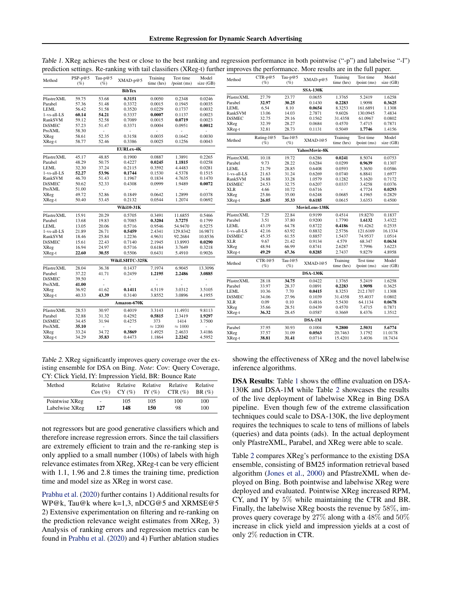| Method                | $PSP-p@5$<br>$(\%)$ | Tau- $p@5$<br>$(\%)$     | XMAD-p@5         | Training<br>time (hrs) | Test time<br>$\gamma$ point $(ms)$ | Model<br>size (GB) | Method                 | $CTR-p@5$<br>$(\%)$     | Tau-p@5<br>$(\% )$   | XMAD-p@5         | Training<br>time (hrs) | Test time<br>$\gamma$ point $(ms)$ | Model<br>size (GB) |
|-----------------------|---------------------|--------------------------|------------------|------------------------|------------------------------------|--------------------|------------------------|-------------------------|----------------------|------------------|------------------------|------------------------------------|--------------------|
|                       |                     |                          | <b>BibTex</b>    |                        |                                    |                    |                        |                         |                      | <b>SSA-130K</b>  |                        |                                    |                    |
| PfastreXML            | 59.75               | 53.68                    | 0.3151           | 0.0050                 | 0.2348                             | 0.0246             | PfastreXML             | 27.79                   | 23.77                | 0.0655           | 1.3765                 | 5.2419                             | 1.6258             |
| Parabel               | 57.36               | 51.48                    | 0.3372           | 0.0015                 | 0.1945                             | 0.0035             | Parabel                | 32.97                   | 30.25                | 0.1430           | 0.2283                 | 1.9098                             | 0.3625             |
| LEML                  | 56.42               | 51.58                    | 0.3520           | 0.0229                 | 0.1737                             | 0.0032             | <b>LEML</b>            | 6.54                    | 8.10                 | 0.0654           | 8.3253                 | 161.6891                           | 1.1308             |
| 1-vs-all-LS           | 60.14               | 54.21                    | 0.3337           | 0.0007                 | 0.1137                             | 0.0023             | RankSVM                | 13.06                   | 14.03                | 2.7871           | 9.6026                 | 130.0945                           | 7.4834             |
| RankSVM               | 59.12               | 52.58                    | 0.7089           | 0.0015                 | 0.0719                             | 0.0023             | <b>DiSMEC</b>          | 32.75                   | 29.16                | 0.1562           | 31.4358                | 61.0967                            | 0.0802             |
| <b>DiSMEC</b>         | 57.23               | 51.47                    | 0.3371           | 0.0004                 | 0.0951                             | 0.0012             | XReg                   | 32.39                   | 28.27                | 0.0684           | 0.4570                 | 7.4715                             | 0.7871             |
| ProXML                | 58.30               | $\sim$                   |                  | $\sim$                 | $\sim$                             |                    | XReg-t                 | 32.81                   | 28.73                | 0.1131           | 0.5049                 | 1.7746                             | 1.4156             |
| XReg                  | 58.61               | 52.35                    | 0.3158           | 0.0035                 | 0.1642                             | 0.0030             |                        | Rating-1@5              | Tau-1 $@5$           |                  | Training               | Test time                          | Model              |
| XReg-t                | 58.77               | 52.46                    | 0.3386           | 0.0025                 | 0.1256                             | 0.0043             | Method                 | (%)                     | $(\%)$               | XMAD-1@5         | time (hrs)             | $\gamma$ point (ms)                | size (GB)          |
|                       |                     | <b>EURLex-4K</b>         |                  |                        |                                    |                    | YahooMovie-8K          |                         |                      |                  |                        |                                    |                    |
| PfastreXML            | 45.17               | 48.85                    | 0.1900           | 0.0887                 | 1.3891                             | 0.2265             | PfastreXML             | 10.18                   | 19.72                | 0.6286           | 0.0241                 | 8.5074                             | 0.0753             |
| Parabel               | 48.29               | 50.75                    | 0.4227           | 0.0245                 | 1.1815                             | 0.0258             | Parabel                | 9.73                    | 28.22                | 0.6284           | 0.0299                 | 0.9639                             | 0.1307             |
| LEML                  | 32.30               | 37.24                    | 0.2115           | 0.3592                 | 4.4483                             | 0.0281             | LEML                   | 21.79                   | 28.85                | 0.6408           | 0.0593                 | 5.3650                             | 0.0586             |
| 1-vs-all-LS           | 52.27               | 53.96                    | 0.1744           | 0.1530                 | 4.5378                             | 0.1515             | 1-vs-all-LS            | 21.63                   | 31.24                | 0.6269           | 0.0740                 | 6.8841                             | 1.6977             |
| RankSVM               | 46.70               | 51.43                    | 1.1967           | 0.1834                 | 4.7635                             | 0.1470             | RankSVM                | 24.88                   | 33.28                | 1.0579           | 0.1282                 | 5.1620                             | 0.7172             |
| <b>DiSMEC</b>         | 50.62               | 52.33                    | 0.4308           | 0.0999                 | 1.9489                             | 0.0072             | <b>DiSMEC</b>          | 24.53                   | 32.75                | 0.6207           | 0.0337                 | 3.4258                             | 0.0376             |
| ProXML                | 51.00               | $\sim$                   |                  | $\sim$                 | $\overline{\phantom{a}}$           |                    | <b>XLR</b>             | 4.66                    | 10.72                | 0.6716           | $\sim$                 | 4.7724                             | 0.0293             |
| XReg                  | 49.72               | 52.86                    | 0.1849           | 0.0642                 | 1.2899                             | 0.0378             | XReg                   | 25.86                   | 35.00                | 0.6248           | 0.0685                 | 4.1965                             | 0.2829             |
| XReg-t                | 50.40               | 53.45                    | 0.2132           | 0.0544                 | 1.2074                             | 0.0692             | XReg-t                 | 26.05                   | 35.33                | 0.6185           | 0.0615                 | 3.6353                             | 0.4500             |
|                       |                     | <b>Wiki10-31K</b>        |                  |                        |                                    |                    | MovieLens-138K         |                         |                      |                  |                        |                                    |                    |
| PfastreXML            | 15.91               | 20.29                    | 0.5705           | 0.3491                 | 11.6855                            | 0.5466             | PfastreXML             | 7.25                    | 22.84                | 0.9199           | 0.4514                 | 19.8270                            | 0.1837             |
| Parabel               | 13.68               | 19.83                    | 0.7085           | 0.3204                 | 3.7275                             | 0.1799             | Parabel                | 3.51                    | 37.80                | 0.9200           | 1.7790                 | 1.6132                             | 3.4322             |
| LEML                  | 13.05               | 20.06                    | 0.5716           | 0.9546                 | 54.9470                            | 0.5275             | <b>LEML</b>            | 43.19                   | 64.78                | 0.8722           | 0.4186                 | 91.4262                            | 0.2535             |
| 1-vs-all-LS           | 21.89               | 26.71                    | 0.5459           | 2.4341                 | 129.8342                           | 16.9871            | 1-vs-all-LS            | 42.16                   | 63.92                | 0.8832           | 2.5756                 | 121.6169                           | 16.1334            |
| RankSVM               | 18.46               | 25.84                    | 1.2236           | 4.9631                 | 92.2684                            | 10.8536            | <b>DiSMEC</b>          | 45.35                   | 61.55                | 0.8857           | 1.5437                 | 74.9537                            | 1.0514             |
| <b>DiSMEC</b>         | 15.61               | 22.43                    | 0.7140           | 2.1945                 | 13.8993                            | 0.0290             | <b>XLR</b>             | 9.67                    | 21.42                | 0.9134           | 4.579                  | 68.347                             | 0.0634             |
| XReg                  | 16.94               | 24.97                    | 0.5716           | 0.6184                 | 3.7649                             | 0.3218             | XReg                   | 48.94                   | 66.99                | 0.8741           | 2.6287                 | 7.7996                             | 3.6223             |
| XReg-t                | 22.60               | 30.55                    | 0.5506           | 0.6431                 | 5.4910                             | 0.9026             | XReg-t                 | 49.29                   | 67.36                | 0.8285           | 2.7437                 | 9.8279                             | 4.8958             |
|                       |                     |                          | WikiLSHTC-325K   |                        |                                    |                    | Method                 | $CTR$ -l $@5$<br>$(\%)$ | Tau- $1@5$<br>$(\%)$ | XMAD-1@5         | Training<br>time (hrs) | Test time<br>/point (ms)           | Model<br>size (GB) |
| PfastreXML<br>Parabel | 28.04<br>37.22      | 36.38<br>41.71           | 0.1437<br>0.2459 | 7.1974<br>1.2195       | 6.9045<br>2.2486                   | 13.3096<br>3.0885  |                        |                         |                      | <b>DSA-130K</b>  |                        |                                    |                    |
| <b>DiSMEC</b>         | 39.50               | $\sim$                   |                  |                        | ÷,                                 |                    |                        |                         |                      |                  |                        |                                    |                    |
| ProXML                | 41.00               | $\overline{\phantom{a}}$ |                  |                        | ÷                                  |                    | PfastreXML             | 28.18                   | 34.75                | 0.0422           | 1.3765                 | 5.2419                             | 1.6258             |
| XReg                  | 36.92               | 41.62                    | 0.1411           | 4.5119                 | 3.0312                             | 3.5105             | Parabel<br><b>LEML</b> | 33.97                   | 28.37                | 0.0891           | 0.2283<br>8.3253       | 1.9098                             | 0.3625             |
| XReg-t                | 40.33               | 43.39                    | 0.3140           | 3.8552                 | 3.0896                             | 4.1955             | <b>DiSMEC</b>          | 10.36<br>34.06          | 7.70<br>27.96        | 0.0415<br>0.1039 | 31.4358                | 212.1707<br>55.4037                | 1.1308<br>0.0802   |
|                       |                     |                          |                  |                        |                                    |                    | <b>XLR</b>             | 0.09                    | 0.10                 | 0.4816           | 5.5430                 | 64.1134                            | 0.0678             |
|                       |                     |                          | Amazon-670K      |                        |                                    |                    | XReg                   | 35.66                   | 28.51                | 0.0439           | 0.4570                 | 7.4715                             | 0.7871             |
| PfastreXML            | 28.53               | 30.97                    | 0.4019           | 3.3143                 | 11.4931                            | 9.8113             |                        | 36.32                   | 28.45                | 0.0587           | 0.3669                 | 8.4376                             | 1.3512             |
| Parabel               | 32.88               | 31.32                    | 0.4292           | 0.5815                 | 2.3419                             | 1.9297             | XReg-t                 |                         |                      |                  |                        |                                    |                    |
| <b>DiSMEC</b>         | 34.45               | 31.94                    | 0.4275           | 373                    | 1414                               | 3.7500             |                        |                         |                      | DSA-1M           |                        |                                    |                    |
| ProXML                | 35.10               | $\sim$                   |                  | $\approx 1200$         | $\approx 1000$                     |                    | Parabel                | 37.95                   | 30.93                | 0.1004           | 9.2800                 | 2.5031                             | 5.6774             |
| <b>XReg</b>           | 33.24               | 34.72                    | 0.3869           | 1.4925                 | 2.4633                             | 3.4186             | XReg                   | 37.57                   | 31.09                | 0.0563           | 20.7463                | 3.1792                             | 11.0178            |
| XReg-t                | 34.29               | 35.83                    | 0.4473           | 1.1864                 | 2.2242                             | 4.5952             | XReg-t                 | 38.81                   | 31.41                | 0.0714           | 15.4201                | 3.4036                             | 18.7434            |
|                       |                     |                          |                  |                        |                                    |                    |                        |                         |                      |                  |                        |                                    |                    |

<span id="page-3-0"></span>Table 1. XReg achieves the best or close to the best ranking and regression performance in both pointwise ("-p") and labelwise "-l") prediction settings. Re-ranking with tail classifiers (XReg-t) further improves the performance. More results are in the full paper.

Table 2. XReg significantly improves query coverage over the existing ensemble for DSA on Bing. *Note*: Cov: Query Coverage, CY: Click Yield, IY: Impression Yield, BR: Bounce Rate

| Method         | Relative | Relative<br>$Cov(\%)$ $CY(\%)$ | Relative<br>IY $(\% )$ | Relative<br>$CTR (\%)$ | Relative<br>$BR(\%)$ |
|----------------|----------|--------------------------------|------------------------|------------------------|----------------------|
| Pointwise XReg | ۰        | 105                            | 105                    | 100                    | 100                  |
| Labelwise XReg | 127      | 148                            | 150                    | 98                     | 100                  |

not regressors but are good generative classifiers which and therefore increase regression errors. Since the tail classifiers are extremely efficient to train and the re-ranking step is only applied to a small number (100s) of labels with high relevance estimates from XReg, XReg-t can be very efficient with 1.1, 1.96 and 2.8 times the training time, prediction time and model size as XReg in worst case.

[Prabhu et al.](#page-4-0) [\(2020\)](#page-4-0) further contains 1) Additional results for WP@k, Tau@k where k=1,3, nDCG@5 and XRMSE@5 2) Extensive experimentation on filtering and re-ranking on the prediction relevance weight estimates from XReg, 3) Analysis of ranking errors and regression metrics can be found in [Prabhu et al.](#page-4-0) [\(2020\)](#page-4-0) and 4) Further ablation studies

showing the effectiveness of XReg and the novel labelwise inference algorithms.

DSA Results: Table 1 shows the offline evaluation on DSA-130K and DSA-1M while Table 2 showcases the results of the live deployment of labelwise XReg in Bing DSA pipeline. Even though few of the extreme classification techniques could scale to DSA-130K, the live deployment requires the techniques to scale to tens of millions of labels (queries) and data points (ads). In the actual deployment only PfastreXML, Parabel, and XReg were able to scale.

Table 2 compares XReg's performance to the existing DSA ensemble, consisting of BM25 information retrieval based algorithm [\(Jones et al.,](#page-4-0) [2000\)](#page-4-0) and PfastreXML when deployed on Bing. Both pointwise and labelwise XReg were deployed and evaluated. Pointwise XReg increased RPM, CY, and IY by 5% while maintaining the CTR and BR. Finally, the labelwise XReg boosts the revenue by 58%, improves query coverage by 27% along with a 48% and 50% increase in click yield and impression yields at a cost of only 2% reduction in CTR.